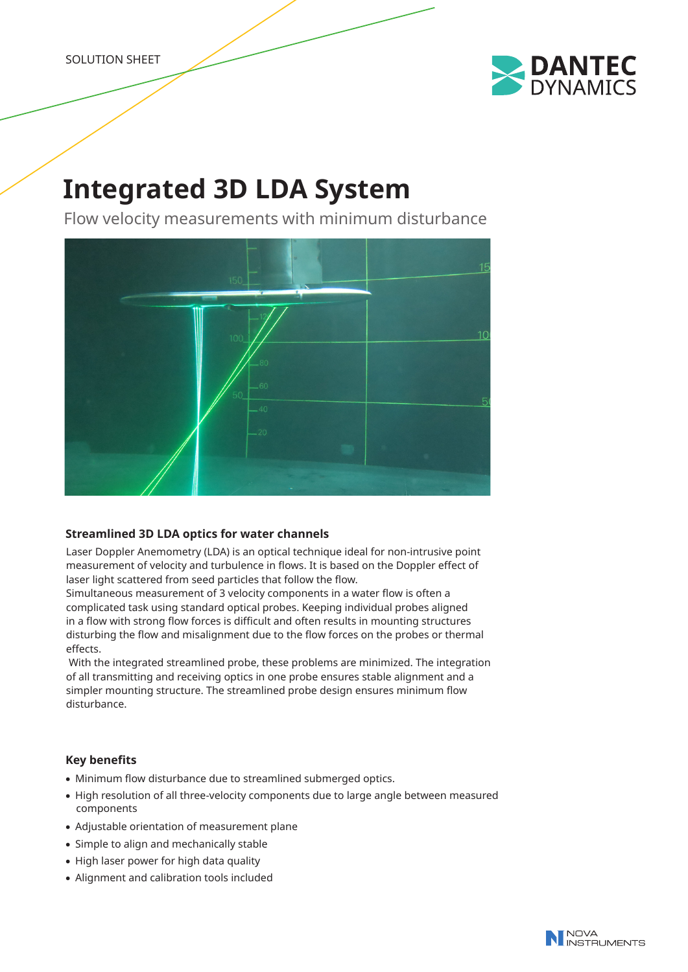

# **Integrated 3D LDA System**

Flow velocity measurements with minimum disturbance



# **Streamlined 3D LDA optics for water channels**

Laser Doppler Anemometry (LDA) is an optical technique ideal for non-intrusive point measurement of velocity and turbulence in flows. It is based on the Doppler effect of laser light scattered from seed particles that follow the flow.

Simultaneous measurement of 3 velocity components in a water flow is often a complicated task using standard optical probes. Keeping individual probes aligned in a flow with strong flow forces is difficult and often results in mounting structures disturbing the flow and misalignment due to the flow forces on the probes or thermal effects.

 With the integrated streamlined probe, these problems are minimized. The integration of all transmitting and receiving optics in one probe ensures stable alignment and a simpler mounting structure. The streamlined probe design ensures minimum flow disturbance.

# **Key benefits**

- Minimum flow disturbance due to streamlined submerged optics.
- components • High resolution of all three-velocity components due to large angle between measured
- • Adjustable orientation of measurement plane
- Simple to align and mechanically stable
- High laser power for high data quality
- Alignment and calibration tools included

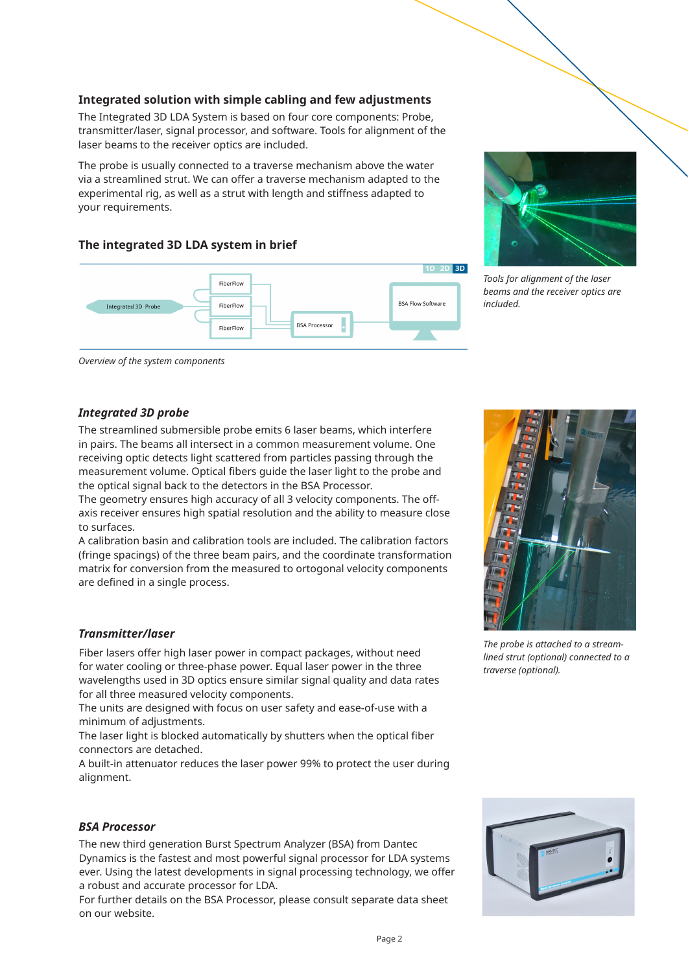# **Integrated solution with simple cabling and few adjustments**

The Integrated 3D LDA System is based on four core components: Probe, transmitter/laser, signal processor, and software. Tools for alignment of the laser beams to the receiver optics are included.

The probe is usually connected to a traverse mechanism above the water via a streamlined strut. We can offer a traverse mechanism adapted to the experimental rig, as well as a strut with length and stiffness adapted to your requirements.

# **The integrated 3D LDA system in brief**





*Tools for alignment of the laser beams and the receiver optics are included.*

*Overview of the system components*

# *Integrated 3D probe*

The streamlined submersible probe emits 6 laser beams, which interfere in pairs. The beams all intersect in a common measurement volume. One receiving optic detects light scattered from particles passing through the measurement volume. Optical fibers guide the laser light to the probe and the optical signal back to the detectors in the BSA Processor.

The geometry ensures high accuracy of all 3 velocity components. The offaxis receiver ensures high spatial resolution and the ability to measure close to surfaces.

A calibration basin and calibration tools are included. The calibration factors (fringe spacings) of the three beam pairs, and the coordinate transformation matrix for conversion from the measured to ortogonal velocity components are defined in a single process.

# *Transmitter/laser*

Fiber lasers offer high laser power in compact packages, without need for water cooling or three-phase power. Equal laser power in the three wavelengths used in 3D optics ensure similar signal quality and data rates for all three measured velocity components.

The units are designed with focus on user safety and ease-of-use with a minimum of adjustments.

The laser light is blocked automatically by shutters when the optical fiber connectors are detached.

A built-in attenuator reduces the laser power 99% to protect the user during alignment.

# *BSA Processor*

The new third generation Burst Spectrum Analyzer (BSA) from Dantec Dynamics is the fastest and most powerful signal processor for LDA systems ever. Using the latest developments in signal processing technology, we offer a robust and accurate processor for LDA.

For further details on the BSA Processor, please consult separate data sheet on our website.



*The probe is attached to a streamlined strut (optional) connected to a traverse (optional).*

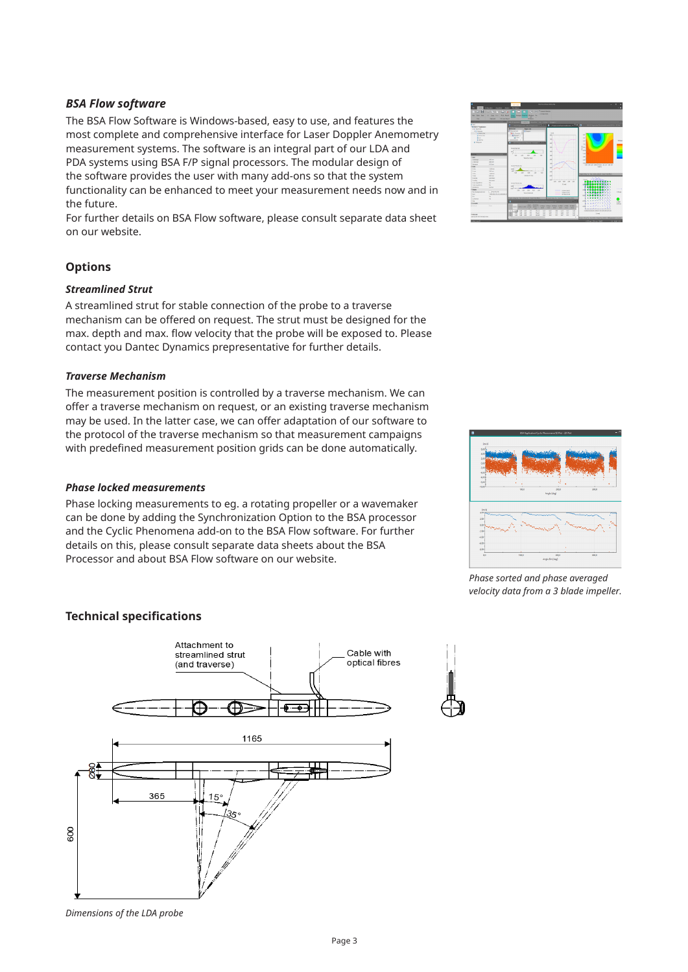#### *BSA Flow software*

The BSA Flow Software is Windows-based, easy to use, and features the most complete and comprehensive interface for Laser Doppler Anemometry measurement systems. The software is an integral part of our LDA and PDA systems using BSA F/P signal processors. The modular design of the software provides the user with many add-ons so that the system functionality can be enhanced to meet your measurement needs now and in the future.

For further details on BSA Flow software, please consult separate data sheet on our website.

# **Options**

#### *Streamlined Strut*

A streamlined strut for stable connection of the probe to a traverse mechanism can be offered on request. The strut must be designed for the max. depth and max. flow velocity that the probe will be exposed to. Please contact you Dantec Dynamics prepresentative for further details.

#### *Traverse Mechanism*

The measurement position is controlled by a traverse mechanism. We can offer a traverse mechanism on request, or an existing traverse mechanism may be used. In the latter case, we can offer adaptation of our software to the protocol of the traverse mechanism so that measurement campaigns with predefined measurement position grids can be done automatically.

#### *Phase locked measurements*

Phase locking measurements to eg. a rotating propeller or a wavemaker can be done by adding the Synchronization Option to the BSA processor and the Cyclic Phenomena add-on to the BSA Flow software. For further details on this, please consult separate data sheets about the BSA Processor and about BSA Flow software on our website.



*Phase sorted and phase averaged velocity data from a 3 blade impeller.*

# **Technical specifications**



*Dimensions of the LDA probe*